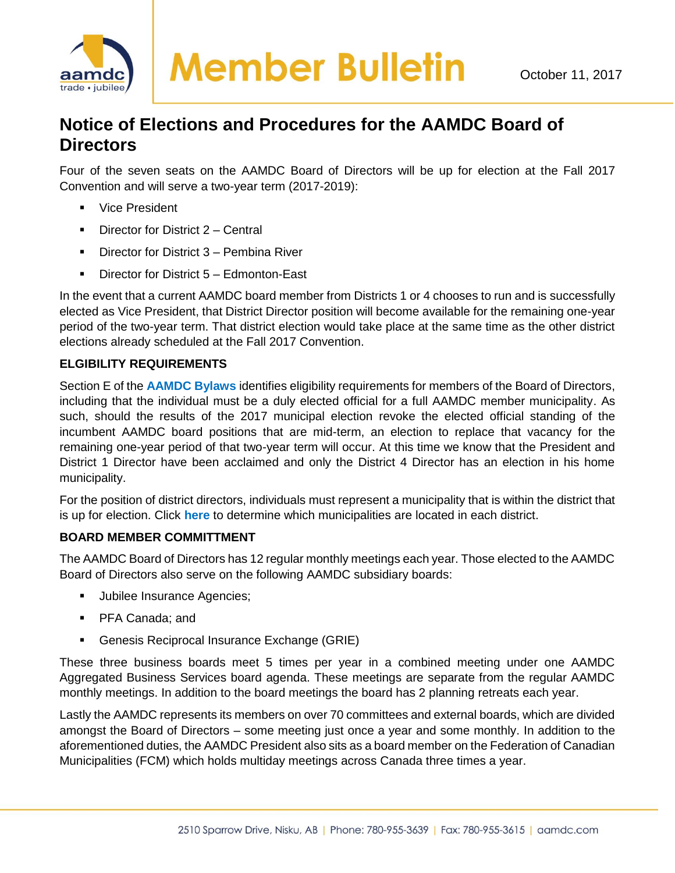

# **Notice of Elections and Procedures for the AAMDC Board of Directors**

Four of the seven seats on the AAMDC Board of Directors will be up for election at the Fall 2017 Convention and will serve a two-year term (2017-2019):

- Vice President
- Director for District 2 Central
- Director for District 3 Pembina River
- Director for District  $5 -$  Edmonton-East

In the event that a current AAMDC board member from Districts 1 or 4 chooses to run and is successfully elected as Vice President, that District Director position will become available for the remaining one-year period of the two-year term. That district election would take place at the same time as the other district elections already scheduled at the Fall 2017 Convention.

## **ELGIBILITY REQUIREMENTS**

Section E of the **[AAMDC Bylaws](http://www.aamdc.com/about/organization/aamdc-bylaws)** identifies eligibility requirements for members of the Board of Directors, including that the individual must be a duly elected official for a full AAMDC member municipality. As such, should the results of the 2017 municipal election revoke the elected official standing of the incumbent AAMDC board positions that are mid-term, an election to replace that vacancy for the remaining one-year period of that two-year term will occur. At this time we know that the President and District 1 Director have been acclaimed and only the District 4 Director has an election in his home municipality.

For the position of district directors, individuals must represent a municipality that is within the district that is up for election. Click **[here](http://www.aamdc.com/about/members)** to determine which municipalities are located in each district.

### **BOARD MEMBER COMMITTMENT**

The AAMDC Board of Directors has 12 regular monthly meetings each year. Those elected to the AAMDC Board of Directors also serve on the following AAMDC subsidiary boards:

- **■** Jubilee Insurance Agencies;
- PFA Canada; and
- Genesis Reciprocal Insurance Exchange (GRIE)

These three business boards meet 5 times per year in a combined meeting under one AAMDC Aggregated Business Services board agenda. These meetings are separate from the regular AAMDC monthly meetings. In addition to the board meetings the board has 2 planning retreats each year.

Lastly the AAMDC represents its members on over 70 committees and external boards, which are divided amongst the Board of Directors – some meeting just once a year and some monthly. In addition to the aforementioned duties, the AAMDC President also sits as a board member on the Federation of Canadian Municipalities (FCM) which holds multiday meetings across Canada three times a year.